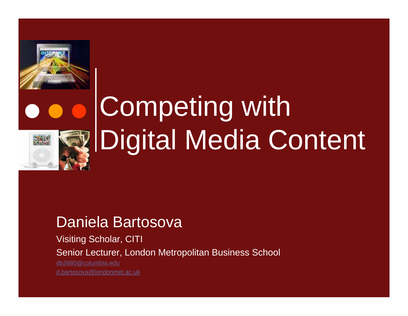



## Competing with Digital Media Content

#### Daniela Bartosova

Visiting Scholar, CITI Senior Lecturer, London Metro politan Business School db2680@columbia.edud.bartosova@londonmet.ac.uk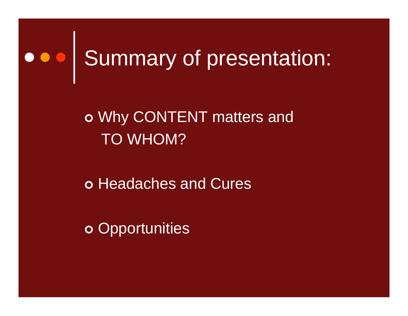## Coo Summary of presentation:

#### | Why CONTENT matters and TO WHOM?

o Headaches and Cures

o Opportunities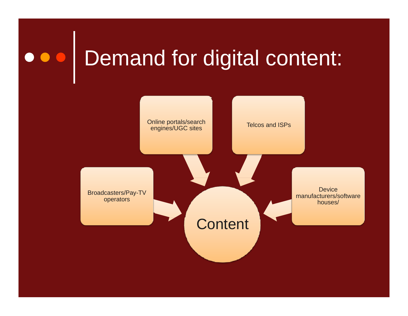### o o o Demand for digital content:

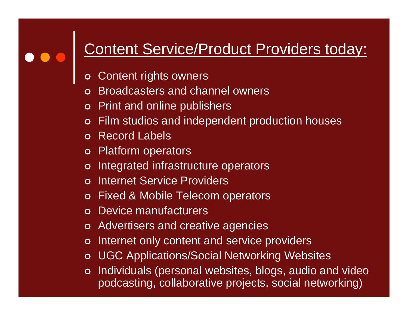#### Content Service/Product Providers today:

- $\mathbf O$ Content rights owners
- $\Omega$ Broadcasters and channel owners
- **o** Print and online publishers
- $\overline{O}$ Film studios and independent production houses
- o Record Labels
- o Platform operators
- o Integrated infrastructure operators
- $\Omega$ o Internet Service Providers
- **o** Fixed & Mobile Telecom operators
- **o** Device manufacturers
- o Advertisers and creative agencies
- $\overline{O}$ Internet only content and service providers
- o UGC Applications/Social Networking Websites
- o Individuals (personal websites, blogs, audio and video podcasting, collaborative projects, social networking)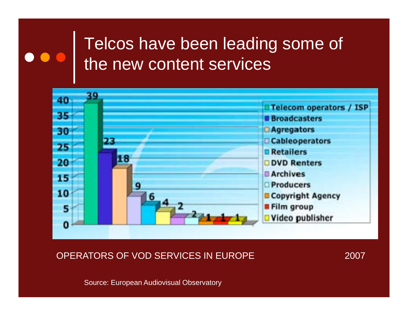#### Telcos have been leading some of the new content services



OPERATORS OF VOD SERVICES IN EUROPE 2007

Source: European Audiovisual Observatory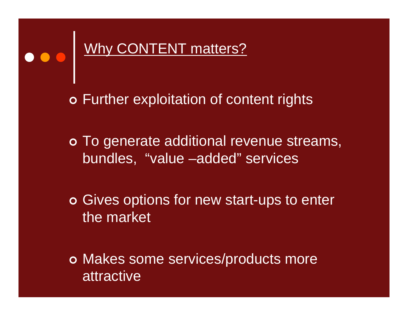#### Why CONTENT matters?

o Further exploitation of content rights

o To generate additional revenue streams, bundles, "value –added" services

o Gives options for new start-ups to enter the market

o Makes some services/products more attractive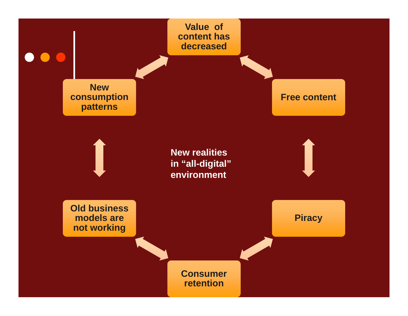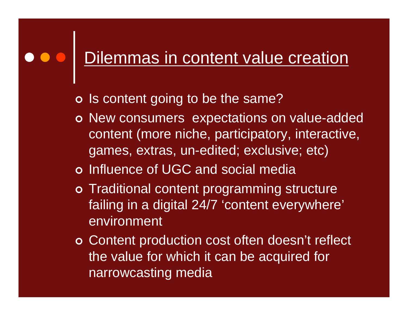### Dilemmas in content value creation

- o Is content going to be the same?
- o New consumers expectations on value-added content (more niche, participatory, interactive, games, extras, un-edited; exclusive; etc)
- o Influence of UGC and social media
- o Traditional content programming structure failing in a digital 24/7 'content everywhere' environment
- o Content production cost often doesn't reflect the value for which it can be acquired for narrowcasting media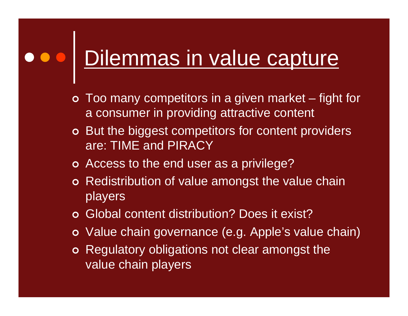### Dilemmas in value capture

- $\bullet~$  Too many competitors in a given market  $-$  fight for a consumer in providing attractive content
- o But the biggest competitors for content providers are: TIME and PIRACY
- o Access to the end user as a privilege?
- o Redistribution of value amongst the value chain players
- o Global content distribution? Does it exist?
- o Value chain governance (e.g. Apple's value chain)
- o Regulatory obligations not clear amongst the value chain players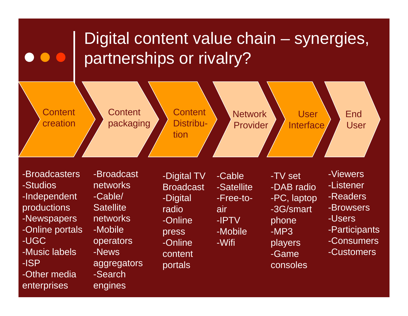

-Broadcasters-Studios-Independent productions -Newspapers networks -Online -IPTV bhone -Users -Online portals -UGC-Music labels-ISP-Other media

enterprises

networks-Cable/ **Satellite** networks-Mobile operators -News -Search

engines

**Broadcast** -Digital radio -Online press -Online content aggregators portals consoles

Cable-Satellite-Free-toairIPTV-Mobile -Wifi

s -Broadcast -Digital TV -Cable -TV set -Viewers -TV set  $\mathcal{L}(\mathcal{L})$  and  $\mathcal{L}(\mathcal{L})$  and  $\mathcal{L}(\mathcal{L})$ -DAB radio-PC, laptop -3G/smart h p hone -MP3 players -Game

- -Listener
- -Readers
- -Browsers
- 
- -Users<br>-Participants
- -Consumers
- -Customers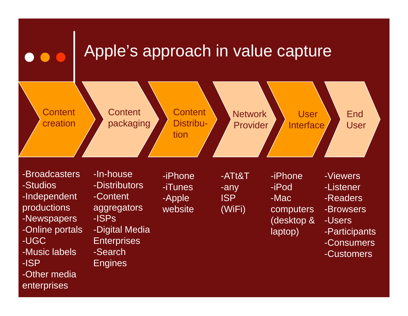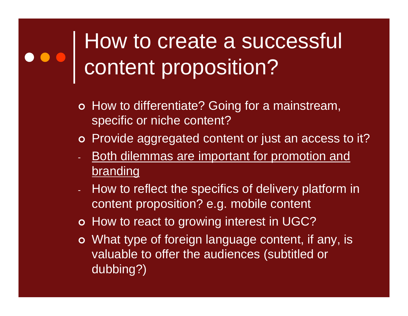### How to create a successful content proposition?

- o How to differentiate? Going for a mainstream, specific or niche content?
- o Provide aggregated content or just an access to it?
- **Both dilemmas are important for promotion and** brandin g
- How to reflect the specifics of delivery platform in content proposition? e.g. mobile content
- o How to react to growing interest in UGC?
- o What type of foreign language content, if any, is valuable to offer the audiences (subtitled or dubbing?)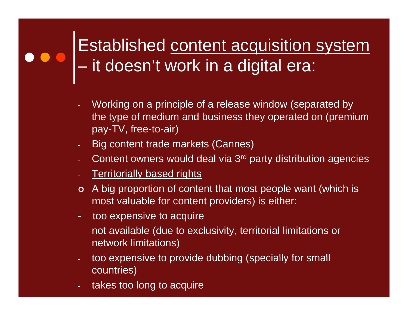#### Established <u>content acquisition system</u>  $\mathcal{L}_{\mathcal{A}}$  , where  $\mathcal{L}_{\mathcal{A}}$  is the set of the set of the set of the set of the set of the set of the set of the set of the set of the set of the set of the set of the set of the set of the set of the set of the  $-$  it doesn't work in a digital era:

- Working on a principle of a release window (separated by the type of medium and business they operated on (premium pay-TV, free-to-air)
- Big content trade markets (Cannes)
- Content owners would deal via 3rd party distribution agencies
- Territorially based rights
- o A big proportion of content that most people want (which is most valuable for content providers) is either:
- too expensive to acquire
- not available (due to exclusivity, territorial limitations or network limitations)
- too expensive to provide dubbing (specially for small countries)
- takes too long to acquire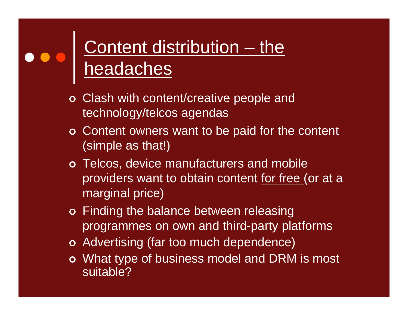#### Content distribution – the headaches

- o Clash with content/creative people and technology/telcos agendas
- o Content owners want to be paid for the content (simple as that!)
- o Telcos, device manufacturers and mobile providers want to obtain content for free (or at <sup>a</sup> marginal price)
- o Finding the balance between releasing programmes on own and third-party platforms
- o Advertising (far too much dependence)
- o What type of business model and DRM is most suitable?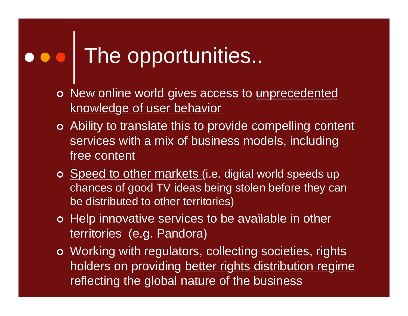### The opportunities..

- o New online world gives access to unprecedented knowledge of user behavior
- o Ability to translate this to provide compelling content services with a mix of business models, including free content
- o Speed to other markets (i.e. digital world speeds up chances of good TV ideas being stolen before they can be distributed to other territories)
- o Help innovative services to be available in other territories (e.g. Pandora)
- o Working with regulators, collecting societies, rights holders on providing better rights distribution regime reflecting the global nature of the business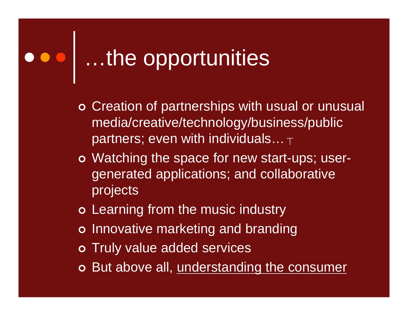# oool ...the opportunities

- o Creation of partnerships with usual or unusual media/creative/technology/business/public partners; even with individuals… $_{\top}$
- o Watching the space for new start-ups; usergenerated applications; and collaborative projects
- o Learning from the music industry
- o Innovative marketing and branding
- o Truly value added services
- **o** But above all, <u>understanding the consumer</u>